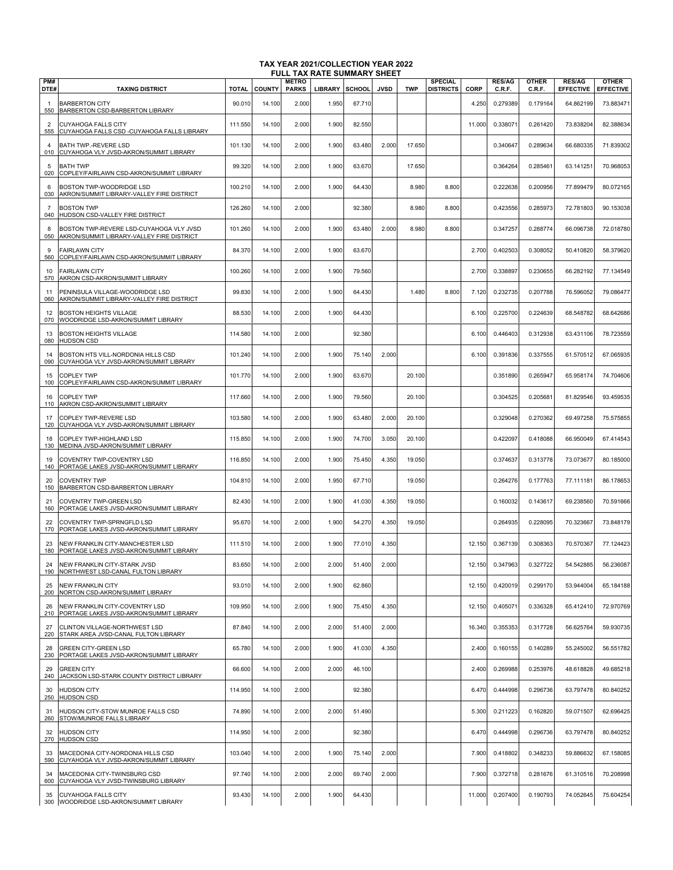|                       |                                                                                      |              |               |                              | FULL TAX RATE SUMMARY SHEET |               |             |            |                                    |        |                         |                        |                                   |                                  |
|-----------------------|--------------------------------------------------------------------------------------|--------------|---------------|------------------------------|-----------------------------|---------------|-------------|------------|------------------------------------|--------|-------------------------|------------------------|-----------------------------------|----------------------------------|
| PM#<br>DTE#           | <b>TAXING DISTRICT</b>                                                               | <b>TOTAL</b> | <b>COUNTY</b> | <b>METRO</b><br><b>PARKS</b> | <b>LIBRARY</b>              | <b>SCHOOL</b> | <b>JVSD</b> | <b>TWP</b> | <b>SPECIAL</b><br><b>DISTRICTS</b> | CORP   | <b>RES/AG</b><br>C.R.F. | <b>OTHER</b><br>C.R.F. | <b>RES/AG</b><br><b>EFFECTIVE</b> | <b>OTHER</b><br><b>EFFECTIVE</b> |
| -1<br>550             | <b>BARBERTON CITY</b><br>BARBERTON CSD-BARBERTON LIBRARY                             | 90.010       | 14.100        | 2.000                        | 1.950                       | 67.710        |             |            |                                    | 4.250  | 0.279389                | 0.179164               | 64.862199                         | 73.883471                        |
| $\overline{2}$<br>555 | <b>CUYAHOGA FALLS CITY</b><br>CUYAHOGA FALLS CSD -CUYAHOGA FALLS LIBRARY             | 111.550      | 14.100        | 2.000                        | 1.900                       | 82.550        |             |            |                                    | 11.000 | 0.33807                 | 0.261420               | 73.838204                         | 82.388634                        |
| 4<br>010              | BATH TWP.-REVERE LSD<br>CUYAHOGA VLY JVSD-AKRON/SUMMIT LIBRARY                       | 101.130      | 14.100        | 2.000                        | 1.900                       | 63.480        | 2.000       | 17.650     |                                    |        | 0.340647                | 0.289634               | 66.680335                         | 71.839302                        |
| 5<br>020              | <b>BATH TWP</b><br>COPLEY/FAIRLAWN CSD-AKRON/SUMMIT LIBRARY                          | 99.320       | 14.100        | 2.000                        | 1.900                       | 63.670        |             | 17.650     |                                    |        | 0.364264                | 0.28546'               | 63.141251                         | 70.968053                        |
| -6<br>030             | BOSTON TWP-WOODRIDGE LSD<br>AKRON/SUMMIT LIBRARY-VALLEY FIRE DISTRICT                | 100.210      | 14.100        | 2.000                        | 1.900                       | 64.430        |             | 8.980      | 8.800                              |        | 0.222638                | 0.200956               | 77.899479                         | 80.072165                        |
| $\overline{7}$<br>040 | <b>BOSTON TWP</b><br>HUDSON CSD-VALLEY FIRE DISTRICT                                 | 126.260      | 14.100        | 2.000                        |                             | 92.380        |             | 8.980      | 8.800                              |        | 0.423556                | 0.285973               | 72.781803                         | 90.153038                        |
| 8<br>050              | BOSTON TWP-REVERE LSD-CUYAHOGA VLY JVSD<br>AKRON/SUMMIT LIBRARY-VALLEY FIRE DISTRICT | 101.260      | 14.100        | 2.000                        | 1.900                       | 63.480        | 2.000       | 8.980      | 8.800                              |        | 0.347257                | 0.288774               | 66.096738                         | 72.018780                        |
| 9<br>560              | <b>FAIRLAWN CITY</b><br>COPLEY/FAIRLAWN CSD-AKRON/SUMMIT LIBRARY                     | 84.370       | 14.100        | 2.000                        | 1.900                       | 63.670        |             |            |                                    | 2.700  | 0.402503                | 0.308052               | 50.410820                         | 58.379620                        |
| 10<br>570             | <b>FAIRLAWN CITY</b><br>AKRON CSD-AKRON/SUMMIT LIBRARY                               | 100.260      | 14.100        | 2.000                        | 1.900                       | 79.560        |             |            |                                    | 2.700  | 0.338897                | 0.230655               | 66.282192                         | 77.134549                        |
| 11<br>060             | PENINSULA VILLAGE-WOODRIDGE LSD<br>AKRON/SUMMIT LIBRARY-VALLEY FIRE DISTRICT         | 99.830       | 14.100        | 2.000                        | 1.900                       | 64.430        |             | 1.480      | 8.800                              | 7.120  | 0.232735                | 0.207788               | 76.596052                         | 79.086477                        |
| 12<br>070             | <b>BOSTON HEIGHTS VILLAGE</b><br>WOODRIDGE LSD-AKRON/SUMMIT LIBRARY                  | 88.530       | 14.100        | 2.000                        | 1.900                       | 64.430        |             |            |                                    | 6.100  | 0.225700                | 0.224639               | 68.548782                         | 68.642686                        |
| 13<br>080             | <b>BOSTON HEIGHTS VILLAGE</b><br>HUDSON CSD                                          | 114.580      | 14.100        | 2.000                        |                             | 92.380        |             |            |                                    | 6.100  | 0.446403                | 0.312938               | 63.431106                         | 78.723559                        |
| 14<br>090             | BOSTON HTS VILL-NORDONIA HILLS CSD<br>CUYAHOGA VLY JVSD-AKRON/SUMMIT LIBRARY         | 101.240      | 14.100        | 2.000                        | 1.900                       | 75.140        | 2.000       |            |                                    | 6.100  | 0.391836                | 0.337555               | 61.570512                         | 67.065935                        |
| 15<br>100             | <b>COPLEY TWP</b><br>COPLEY/FAIRLAWN CSD-AKRON/SUMMIT LIBRARY                        | 101.770      | 14.100        | 2.000                        | 1.900                       | 63.670        |             | 20.100     |                                    |        | 0.351890                | 0.265947               | 65.958174                         | 74.704606                        |
| 16<br>110             | <b>COPLEY TWP</b><br>AKRON CSD-AKRON/SUMMIT LIBRARY                                  | 117.660      | 14.100        | 2.000                        | 1.900                       | 79.560        |             | 20.100     |                                    |        | 0.304525                | 0.20568                | 81.829546                         | 93.459535                        |
| 17<br>120             | COPLEY TWP-REVERE LSD<br>CUYAHOGA VLY JVSD-AKRON/SUMMIT LIBRARY                      | 103.580      | 14.100        | 2.000                        | 1.900                       | 63.480        | 2.000       | 20.100     |                                    |        | 0.329048                | 0.270362               | 69.497258                         | 75.575855                        |
| 18<br>130             | COPLEY TWP-HIGHLAND LSD<br>MEDINA JVSD-AKRON/SUMMIT LIBRARY                          | 115.850      | 14.100        | 2.000                        | 1.900                       | 74.700        | 3.050       | 20.100     |                                    |        | 0.422097                | 0.418088               | 66.950049                         | 67.414543                        |
| 19<br>140             | COVENTRY TWP-COVENTRY LSD<br>PORTAGE LAKES JVSD-AKRON/SUMMIT LIBRARY                 | 116.850      | 14.100        | 2.000                        | 1.900                       | 75.450        | 4.350       | 19.050     |                                    |        | 0.374637                | 0.313778               | 73.073677                         | 80.185000                        |
| 20<br>150             | <b>COVENTRY TWP</b><br>BARBERTON CSD-BARBERTON LIBRARY                               | 104.810      | 14.100        | 2.000                        | 1.950                       | 67.710        |             | 19.050     |                                    |        | 0.264276                | 0.177763               | 77.111181                         | 86.178653                        |
| 21<br>160             | COVENTRY TWP-GREEN LSD<br>PORTAGE LAKES JVSD-AKRON/SUMMIT LIBRARY                    | 82.430       | 14.100        | 2.000                        | 1.900                       | 41.030        | 4.350       | 19.050     |                                    |        | 0.160032                | 0.143617               | 69.238560                         | 70.591666                        |
| 22<br>170             | COVENTRY TWP-SPRNGFLD LSD<br>PORTAGE LAKES JVSD-AKRON/SUMMIT LIBRARY                 | 95.670       | 14.100        | 2.000                        | 1.900                       | 54.270        | 4.350       | 19.050     |                                    |        | 0.264935                | 0.228095               | 70.323667                         | 73.848179                        |
| 23<br>180             | NEW FRANKLIN CITY-MANCHESTER LSD<br>PORTAGE LAKES JVSD-AKRON/SUMMIT LIBRARY          | 111.510      | 14.100        | 2.000                        | 1.900                       | 77.010        | 4.350       |            |                                    | 12.150 | 0.367139                | 0.308363               | 70.570367                         | 77.124423                        |
| 190                   | NEW FRANKLIN CITY-STARK JVSD<br>NORTHWEST LSD-CANAL FULTON LIBRARY                   | 83.650       | 14.100        | 2.000                        | 2.000                       | 51.400        | 2.000       |            |                                    | 12.150 | 0.347963                | 0.327722               | 54.542885                         | 56.236087                        |
| 25<br>200             | <b>NEW FRANKLIN CITY</b><br>NORTON CSD-AKRON/SUMMIT LIBRARY                          | 93.010       | 14.100        | 2.000                        | 1.900                       | 62.860        |             |            |                                    | 12.150 | 0.420019                | 0.299170               | 53.944004                         | 65.184188                        |
| 26<br>210             | NEW FRANKLIN CITY-COVENTRY LSD<br>PORTAGE LAKES JVSD-AKRON/SUMMIT LIBRARY            | 109.950      | 14.100        | 2.000                        | 1.900                       | 75.450        | 4.350       |            |                                    | 12.150 | 0.40507                 | 0.336328               | 65.412410                         | 72.970769                        |
| 27<br>220             | CLINTON VILLAGE-NORTHWEST LSD<br>STARK AREA JVSD-CANAL FULTON LIBRARY                | 87.840       | 14.100        | 2.000                        | 2.000                       | 51.400        | 2.000       |            |                                    | 16.340 | 0.355353                | 0.317728               | 56.625764                         | 59.930735                        |
| 28<br>230             | <b>GREEN CITY-GREEN LSD</b><br>PORTAGE LAKES JVSD-AKRON/SUMMIT LIBRARY               | 65.780       | 14.100        | 2.000                        | 1.900                       | 41.030        | 4.350       |            |                                    | 2.400  | 0.160155                | 0.140289               | 55.245002                         | 56.551782                        |
| 29<br>240             | <b>GREEN CITY</b><br>JACKSON LSD-STARK COUNTY DISTRICT LIBRARY                       | 66.600       | 14.100        | 2.000                        | 2.000                       | 46.100        |             |            |                                    | 2.400  | 0.269988                | 0.253976               | 48.618828                         | 49.685218                        |
| 30<br>250             | <b>HUDSON CITY</b><br><b>HUDSON CSD</b>                                              | 114.950      | 14.100        | 2.000                        |                             | 92.380        |             |            |                                    | 6.470  | 0.444998                | 0.296736               | 63.797478                         | 80.840252                        |
| 31<br>260             | HUDSON CITY-STOW MUNROE FALLS CSD<br>STOW/MUNROE FALLS LIBRARY                       | 74.890       | 14.100        | 2.000                        | 2.000                       | 51.490        |             |            |                                    | 5.300  | 0.211223                | 0.162820               | 59.071507                         | 62.696425                        |
| 32<br>270             | <b>HUDSON CITY</b><br><b>HUDSON CSD</b>                                              | 114.950      | 14.100        | 2.000                        |                             | 92.380        |             |            |                                    | 6.470  | 0.444998                | 0.296736               | 63.797478                         | 80.840252                        |
| 33<br>590             | MACEDONIA CITY-NORDONIA HILLS CSD<br>CUYAHOGA VLY JVSD-AKRON/SUMMIT LIBRARY          | 103.040      | 14.100        | 2.000                        | 1.900                       | 75.140        | 2.000       |            |                                    | 7.900  | 0.418802                | 0.348233               | 59.886632                         | 67.158085                        |
| 34<br>600             | MACEDONIA CITY-TWINSBURG CSD<br>CUYAHOGA VLY JVSD-TWINSBURG LIBRARY                  | 97.740       | 14.100        | 2.000                        | 2.000                       | 69.740        | 2.000       |            |                                    | 7.900  | 0.372718                | 0.281676               | 61.310516                         | 70.208998                        |
| 35                    | <b>CUYAHOGA FALLS CITY</b><br>300 WOODRIDGE LSD-AKRON/SUMMIT LIBRARY                 | 93.430       | 14.100        | 2.000                        | 1.900                       | 64.430        |             |            |                                    | 11.000 | 0.207400                | 0.190793               | 74.052645                         | 75.604254                        |

**TAX YEAR 2021/COLLECTION YEAR 2022**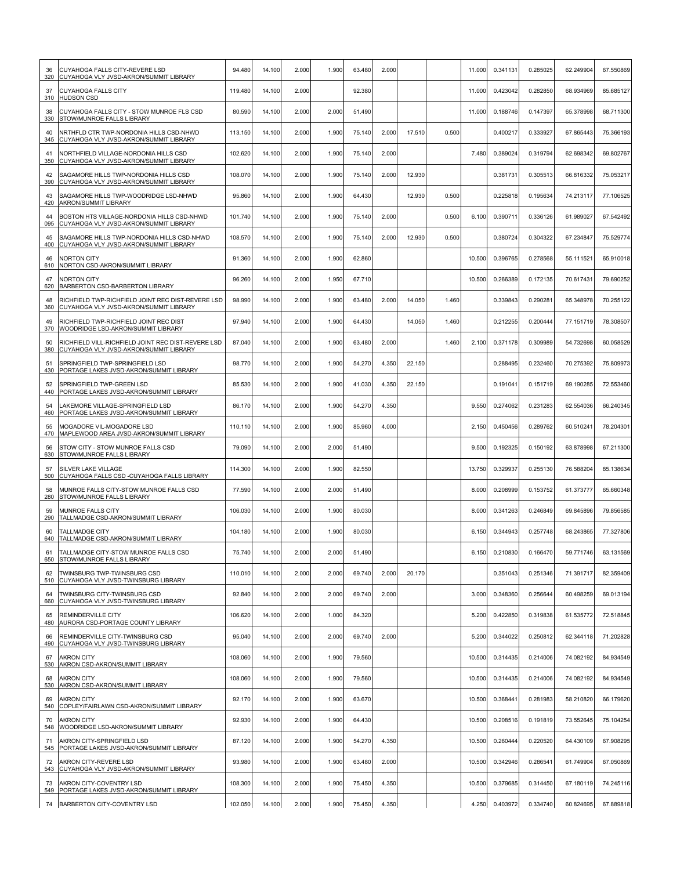| 36<br>320 | CUYAHOGA FALLS CITY-REVERE LSD<br>CUYAHOGA VLY JVSD-AKRON/SUMMIT LIBRARY                     | 94.480  | 14.100 | 2.000 | 1.900 | 63.480 | 2.000 |        |       | 11.000 | 0.341131 | 0.285025 | 62.249904 | 67.550869 |
|-----------|----------------------------------------------------------------------------------------------|---------|--------|-------|-------|--------|-------|--------|-------|--------|----------|----------|-----------|-----------|
| 37<br>310 | <b>CUYAHOGA FALLS CITY</b><br><b>HUDSON CSD</b>                                              | 119.480 | 14.100 | 2.000 |       | 92.380 |       |        |       | 11.000 | 0.423042 | 0.282850 | 68.934969 | 85.685127 |
| 38<br>330 | CUYAHOGA FALLS CITY - STOW MUNROE FLS CSD<br>STOW/MUNROE FALLS LIBRARY                       | 80.590  | 14.100 | 2.000 | 2.000 | 51.490 |       |        |       | 11.000 | 0.188746 | 0.147397 | 65.378998 | 68.711300 |
| 40<br>345 | <b>NRTHFLD CTR TWP-NORDONIA HILLS CSD-NHWD</b><br>CUYAHOGA VLY JVSD-AKRON/SUMMIT LIBRARY     | 113.150 | 14.100 | 2.000 | 1.900 | 75.140 | 2.000 | 17.510 | 0.500 |        | 0.400217 | 0.333927 | 67.865443 | 75.366193 |
| 41<br>350 | NORTHFIELD VILLAGE-NORDONIA HILLS CSD<br>CUYAHOGA VLY JVSD-AKRON/SUMMIT LIBRARY              | 102.620 | 14.100 | 2.000 | 1.900 | 75.140 | 2.000 |        |       | 7.480  | 0.389024 | 0.319794 | 62.698342 | 69.802767 |
| 42<br>390 | SAGAMORE HILLS TWP-NORDONIA HILLS CSD<br>CUYAHOGA VLY JVSD-AKRON/SUMMIT LIBRARY              | 108.070 | 14.100 | 2.000 | 1.900 | 75.140 | 2.000 | 12.930 |       |        | 0.381731 | 0.305513 | 66.816332 | 75.053217 |
| 43<br>420 | SAGAMORE HILLS TWP-WOODRIDGE LSD-NHWD<br>AKRON/SUMMIT LIBRARY                                | 95.860  | 14.100 | 2.000 | 1.900 | 64.430 |       | 12.930 | 0.500 |        | 0.225818 | 0.195634 | 74.213117 | 77.106525 |
| 44<br>095 | BOSTON HTS VILLAGE-NORDONIA HILLS CSD-NHWD<br>CUYAHOGA VLY JVSD-AKRON/SUMMIT LIBRARY         | 101.740 | 14.100 | 2.000 | 1.900 | 75.140 | 2.000 |        | 0.500 | 6.100  | 0.390711 | 0.336126 | 61.989027 | 67.542492 |
| 45<br>400 | SAGAMORE HILLS TWP-NORDONIA HILLS CSD-NHWD<br>CUYAHOGA VLY JVSD-AKRON/SUMMIT LIBRARY         | 108.570 | 14.100 | 2.000 | 1.900 | 75.140 | 2.000 | 12.930 | 0.500 |        | 0.380724 | 0.304322 | 67.234847 | 75.529774 |
| 46<br>610 | NORTON CITY<br>NORTON CSD-AKRON/SUMMIT LIBRARY                                               | 91.360  | 14.100 | 2.000 | 1.900 | 62.860 |       |        |       | 10.500 | 0.396765 | 0.278568 | 55.111521 | 65.910018 |
| 47<br>620 | <b>VORTON CITY</b><br>BARBERTON CSD-BARBERTON LIBRARY                                        | 96.260  | 14.100 | 2.000 | 1.950 | 67.710 |       |        |       | 10.500 | 0.266389 | 0.172135 | 70.617431 | 79.690252 |
| 48<br>360 | RICHFIELD TWP-RICHFIELD JOINT REC DIST-REVERE LSD<br>CUYAHOGA VLY JVSD-AKRON/SUMMIT LIBRARY  | 98.990  | 14.100 | 2.000 | 1.900 | 63.480 | 2.000 | 14.050 | 1.460 |        | 0.339843 | 0.290281 | 65.348978 | 70.255122 |
| 49<br>370 | RICHFIELD TWP-RICHFIELD JOINT REC DIST<br>WOODRIDGE LSD-AKRON/SUMMIT LIBRARY                 | 97.940  | 14.100 | 2.000 | 1.900 | 64.430 |       | 14.050 | 1.460 |        | 0.212255 | 0.200444 | 77.151719 | 78.308507 |
| 50<br>380 | RICHFIELD VILL-RICHFIELD JOINT REC DIST-REVERE LSD<br>CUYAHOGA VLY JVSD-AKRON/SUMMIT LIBRARY | 87.040  | 14.100 | 2.000 | 1.900 | 63.480 | 2.000 |        | 1.460 | 2.100  | 0.371178 | 0.309989 | 54.732698 | 60.058529 |
| 51<br>430 | SPRINGFIELD TWP-SPRINGFIELD LSD<br>PORTAGE LAKES JVSD-AKRON/SUMMIT LIBRARY                   | 98.770  | 14.100 | 2.000 | 1.900 | 54.270 | 4.350 | 22.150 |       |        | 0.288495 | 0.232460 | 70.275392 | 75.809973 |
| 52<br>440 | SPRINGFIELD TWP-GREEN LSD<br>PORTAGE LAKES JVSD-AKRON/SUMMIT LIBRARY                         | 85.530  | 14.100 | 2.000 | 1.900 | 41.030 | 4.350 | 22.150 |       |        | 0.191041 | 0.151719 | 69.190285 | 72.553460 |
| 54<br>460 | AKEMORE VILLAGE-SPRINGFIELD LSD.<br>PORTAGE LAKES JVSD-AKRON/SUMMIT LIBRARY                  | 86.170  | 14.100 | 2.000 | 1.900 | 54.270 | 4.350 |        |       | 9.550  | 0.274062 | 0.231283 | 62.554036 | 66.240345 |
| 55<br>470 | MOGADORE VIL-MOGADORE LSD<br>MAPLEWOOD AREA JVSD-AKRON/SUMMIT LIBRARY                        | 110.110 | 14.100 | 2.000 | 1.900 | 85.960 | 4.000 |        |       | 2.150  | 0.450456 | 0.289762 | 60.510241 | 78.204301 |
| 56<br>630 | STOW CITY - STOW MUNROE FALLS CSD<br>STOW/MUNROE FALLS LIBRARY                               | 79.090  | 14.100 | 2.000 | 2.000 | 51.490 |       |        |       | 9.500  | 0.192325 | 0.150192 | 63.878998 | 67.211300 |
| 57<br>500 | SILVER LAKE VILLAGE<br>CUYAHOGA FALLS CSD -CUYAHOGA FALLS LIBRARY                            | 114.300 | 14.100 | 2.000 | 1.900 | 82.550 |       |        |       | 13.750 | 0.329937 | 0.255130 | 76.588204 | 85.138634 |
| 58<br>280 | MUNROE FALLS CITY-STOW MUNROE FALLS CSD<br>STOW/MUNROE FALLS LIBRARY                         | 77.590  | 14.100 | 2.000 | 2.000 | 51.490 |       |        |       | 8.000  | 0.208999 | 0.153752 | 61.373777 | 65.660348 |
| 59<br>290 | MUNROE FALLS CITY<br>TALLMADGE CSD-AKRON/SUMMIT LIBRARY                                      | 106.030 | 14.100 | 2.000 | 1.900 | 80.030 |       |        |       | 8.000  | 0.341263 | 0.246849 | 69.845896 | 79.856585 |
| 60<br>640 | TALLMADGE CITY<br>TALLMADGE CSD-AKRON/SUMMIT LIBRARY                                         | 104.180 | 14.100 | 2.000 | 1.900 | 80.030 |       |        |       | 6.150  | 0.344943 | 0.257748 | 68.243865 | 77.327806 |
| 61        | TALLMADGE CITY-STOW MUNROE FALLS CSD<br>650 STOW/MUNROE FALLS LIBRARY                        | 75.740  | 14.100 | 2.000 | 2.000 | 51.490 |       |        |       | 6.150  | 0.210830 | 0.166470 | 59.771746 | 63.131569 |
| 62<br>510 | TWINSBURG TWP-TWINSBURG CSD<br>CUYAHOGA VLY JVSD-TWINSBURG LIBRARY                           | 110.010 | 14.100 | 2.000 | 2.000 | 69.740 | 2.000 | 20.170 |       |        | 0.351043 | 0.251346 | 71.391717 | 82.359409 |
| 64<br>660 | TWINSBURG CITY-TWINSBURG CSD<br>CUYAHOGA VLY JVSD-TWINSBURG LIBRARY                          | 92.840  | 14.100 | 2.000 | 2.000 | 69.740 | 2.000 |        |       | 3.000  | 0.348360 | 0.256644 | 60.498259 | 69.013194 |
| 65<br>480 | REMINDERVILLE CITY<br>AURORA CSD-PORTAGE COUNTY LIBRARY                                      | 106.620 | 14.100 | 2.000 | 1.000 | 84.320 |       |        |       | 5.200  | 0.422850 | 0.319838 | 61.535772 | 72.518845 |
| 66<br>490 | REMINDERVILLE CITY-TWINSBURG CSD<br>CUYAHOGA VLY JVSD-TWINSBURG LIBRARY                      | 95.040  | 14.100 | 2.000 | 2.000 | 69.740 | 2.000 |        |       | 5.200  | 0.344022 | 0.250812 | 62.344118 | 71.202828 |
| 67        | <b>AKRON CITY</b><br>530 AKRON CSD-AKRON/SUMMIT LIBRARY                                      | 108.060 | 14.100 | 2.000 | 1.900 | 79.560 |       |        |       | 10.500 | 0.314435 | 0.214006 | 74.082192 | 84.934549 |
| 68<br>530 | <b>AKRON CITY</b><br>AKRON CSD-AKRON/SUMMIT LIBRARY                                          | 108.060 | 14.100 | 2.000 | 1.900 | 79.560 |       |        |       | 10.500 | 0.314435 | 0.214006 | 74.082192 | 84.934549 |
| 69<br>540 | <b>AKRON CITY</b><br>COPLEY/FAIRLAWN CSD-AKRON/SUMMIT LIBRARY                                | 92.170  | 14.100 | 2.000 | 1.900 | 63.670 |       |        |       | 10.500 | 0.368441 | 0.281983 | 58.210820 | 66.179620 |
| 70<br>548 | <b>AKRON CITY</b><br>WOODRIDGE LSD-AKRON/SUMMIT LIBRARY                                      | 92.930  | 14.100 | 2.000 | 1.900 | 64.430 |       |        |       | 10.500 | 0.208516 | 0.191819 | 73.552645 | 75.104254 |
| 71<br>545 | AKRON CITY-SPRINGFIELD LSD<br>PORTAGE LAKES JVSD-AKRON/SUMMIT LIBRARY                        | 87.120  | 14.100 | 2.000 | 1.900 | 54.270 | 4.350 |        |       | 10.500 | 0.260444 | 0.220520 | 64.430109 | 67.908295 |
| 72<br>543 | AKRON CITY-REVERE LSD<br>CUYAHOGA VLY JVSD-AKRON/SUMMIT LIBRARY                              | 93.980  | 14.100 | 2.000 | 1.900 | 63.480 | 2.000 |        |       | 10.500 | 0.342946 | 0.286541 | 61.749904 | 67.050869 |
| 73        | AKRON CITY-COVENTRY LSD<br>549 PORTAGE LAKES JVSD-AKRON/SUMMIT LIBRARY                       | 108.300 | 14.100 | 2.000 | 1.900 | 75.450 | 4.350 |        |       | 10.500 | 0.379685 | 0.314450 | 67.180119 | 74.245116 |
|           | 74 BARBERTON CITY-COVENTRY LSD                                                               | 102.050 | 14.100 | 2.000 | 1.900 | 75.450 | 4.350 |        |       | 4.250  | 0.403972 | 0.334740 | 60.824695 | 67.889818 |